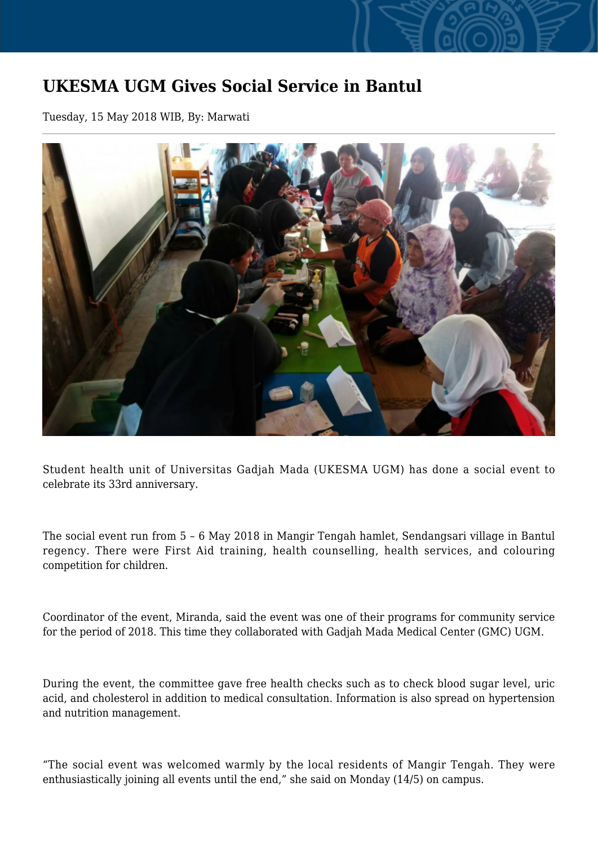## **UKESMA UGM Gives Social Service in Bantul**

Tuesday, 15 May 2018 WIB, By: Marwati



Student health unit of Universitas Gadjah Mada (UKESMA UGM) has done a social event to celebrate its 33rd anniversary.

The social event run from 5 – 6 May 2018 in Mangir Tengah hamlet, Sendangsari village in Bantul regency. There were First Aid training, health counselling, health services, and colouring competition for children.

Coordinator of the event, Miranda, said the event was one of their programs for community service for the period of 2018. This time they collaborated with Gadjah Mada Medical Center (GMC) UGM.

During the event, the committee gave free health checks such as to check blood sugar level, uric acid, and cholesterol in addition to medical consultation. Information is also spread on hypertension and nutrition management.

"The social event was welcomed warmly by the local residents of Mangir Tengah. They were enthusiastically joining all events until the end," she said on Monday (14/5) on campus.